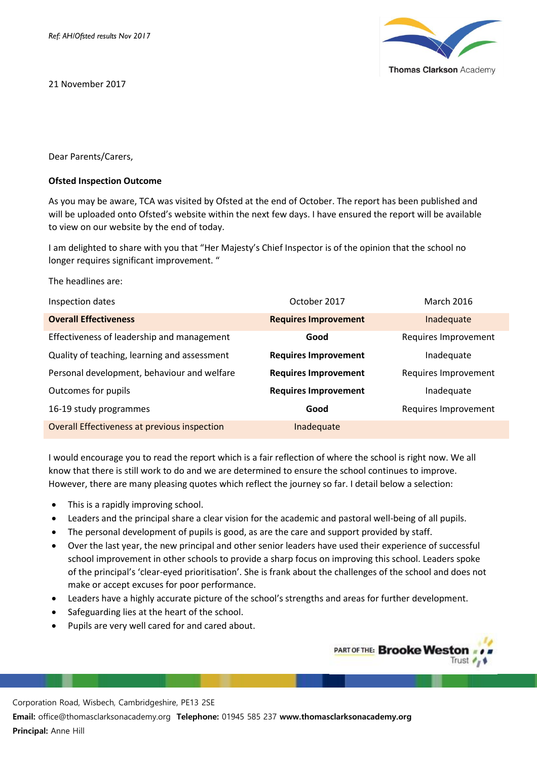21 November 2017



Dear Parents/Carers,

## **Ofsted Inspection Outcome**

As you may be aware, TCA was visited by Ofsted at the end of October. The report has been published and will be uploaded onto Ofsted's website within the next few days. I have ensured the report will be available to view on our website by the end of today.

I am delighted to share with you that "Her Majesty's Chief Inspector is of the opinion that the school no longer requires significant improvement. "

The headlines are:

| Inspection dates                             | October 2017                | <b>March 2016</b>    |
|----------------------------------------------|-----------------------------|----------------------|
| <b>Overall Effectiveness</b>                 | <b>Requires Improvement</b> | Inadequate           |
| Effectiveness of leadership and management   | Good                        | Requires Improvement |
| Quality of teaching, learning and assessment | <b>Requires Improvement</b> | Inadequate           |
| Personal development, behaviour and welfare  | <b>Requires Improvement</b> | Requires Improvement |
| Outcomes for pupils                          | <b>Requires Improvement</b> | Inadequate           |
| 16-19 study programmes                       | Good                        | Requires Improvement |
| Overall Effectiveness at previous inspection | Inadequate                  |                      |

I would encourage you to read the report which is a fair reflection of where the school is right now. We all know that there is still work to do and we are determined to ensure the school continues to improve. However, there are many pleasing quotes which reflect the journey so far. I detail below a selection:

- This is a rapidly improving school.
- Leaders and the principal share a clear vision for the academic and pastoral well-being of all pupils.
- The personal development of pupils is good, as are the care and support provided by staff.
- Over the last year, the new principal and other senior leaders have used their experience of successful school improvement in other schools to provide a sharp focus on improving this school. Leaders spoke of the principal's 'clear-eyed prioritisation'. She is frank about the challenges of the school and does not make or accept excuses for poor performance.
- Leaders have a highly accurate picture of the school's strengths and areas for further development.
- Safeguarding lies at the heart of the school.
- Pupils are very well cared for and cared about.

**PART OF THE: Brooke Westo** Trust  $\epsilon_{\text{H}}$ 

Corporation Road, Wisbech, Cambridgeshire, PE13 2SE

**Email:** office@thomasclarksonacademy.org **Telephone:** 01945 585 237 **www.thomasclarksonacademy.org Principal:** Anne Hill